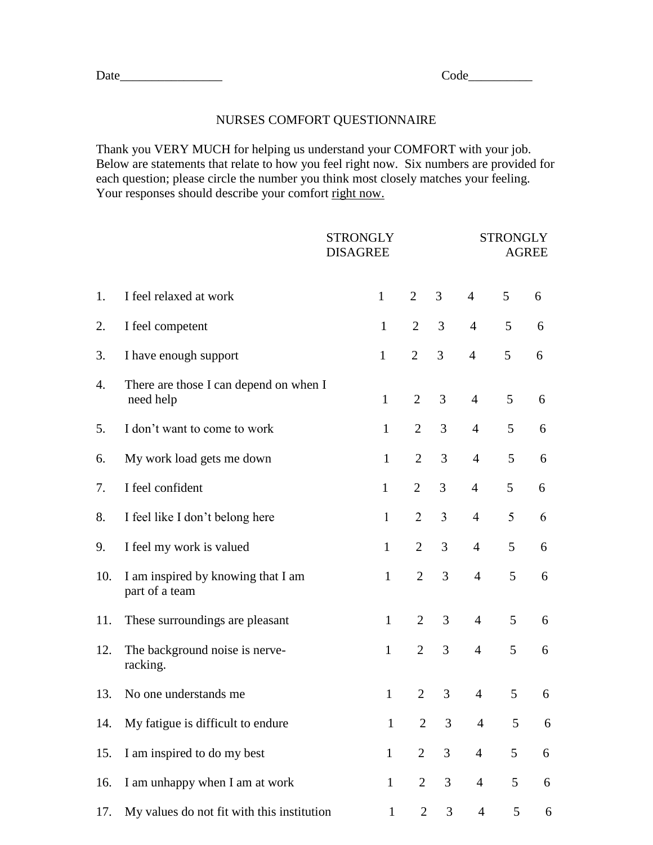## Date\_\_\_\_\_\_\_\_\_\_\_\_\_\_\_\_ Code\_\_\_\_\_\_\_\_\_\_

## NURSES COMFORT QUESTIONNAIRE

Thank you VERY MUCH for helping us understand your COMFORT with your job. Below are statements that relate to how you feel right now. Six numbers are provided for each question; please circle the number you think most closely matches your feeling. Your responses should describe your comfort right now.

|     |                                                      | <b>STRONGLY</b><br><b>DISAGREE</b> |                |                | <b>STRONGLY</b><br><b>AGREE</b> |   |   |  |
|-----|------------------------------------------------------|------------------------------------|----------------|----------------|---------------------------------|---|---|--|
| 1.  | I feel relaxed at work                               | $\mathbf{1}$                       | $\overline{2}$ | 3              | $\overline{4}$                  | 5 | 6 |  |
| 2.  | I feel competent                                     | $\mathbf{1}$                       | $\overline{2}$ | 3              | $\overline{4}$                  | 5 | 6 |  |
| 3.  | I have enough support                                | $\mathbf{1}$                       | $\overline{2}$ | 3              | $\overline{4}$                  | 5 | 6 |  |
| 4.  | There are those I can depend on when I<br>need help  | $\mathbf{1}$                       | $\overline{2}$ | 3              | $\overline{4}$                  | 5 | 6 |  |
| 5.  | I don't want to come to work                         | $\mathbf{1}$                       | $\overline{2}$ | 3              | $\overline{4}$                  | 5 | 6 |  |
| 6.  | My work load gets me down                            | $\mathbf{1}$                       | $\overline{2}$ | 3              | $\overline{4}$                  | 5 | 6 |  |
| 7.  | I feel confident                                     | $\mathbf{1}$                       | $\overline{2}$ | 3              | $\overline{4}$                  | 5 | 6 |  |
| 8.  | I feel like I don't belong here                      | $\mathbf{1}$                       | $\overline{2}$ | $\overline{3}$ | $\overline{4}$                  | 5 | 6 |  |
| 9.  | I feel my work is valued                             | $\mathbf{1}$                       | $\overline{2}$ | 3              | $\overline{4}$                  | 5 | 6 |  |
| 10. | I am inspired by knowing that I am<br>part of a team | $\mathbf{1}$                       | $\overline{2}$ | 3              | $\overline{4}$                  | 5 | 6 |  |
| 11. | These surroundings are pleasant                      | $\mathbf{1}$                       | $\overline{2}$ | $\overline{3}$ | $\overline{4}$                  | 5 | 6 |  |
| 12. | The background noise is nerve-<br>racking.           | $\mathbf{1}$                       | $\overline{2}$ | 3              | $\overline{4}$                  | 5 | 6 |  |
| 13. | No one understands me                                | $\mathbf{1}$                       | $\overline{2}$ | 3              | $\overline{4}$                  | 5 | 6 |  |
| 14. | My fatigue is difficult to endure                    | $\mathbf{1}$                       | $\overline{2}$ | 3              | $\overline{4}$                  | 5 | 6 |  |
| 15. | I am inspired to do my best                          | $\mathbf{1}$                       | $\overline{2}$ | 3              | $\overline{4}$                  | 5 | 6 |  |
| 16. | I am unhappy when I am at work                       | $\mathbf{1}$                       | $\overline{2}$ | 3              | $\overline{4}$                  | 5 | 6 |  |
| 17. | My values do not fit with this institution           | $\mathbf{1}$                       | $\mathbf{2}$   | 3              | $\overline{4}$                  | 5 | 6 |  |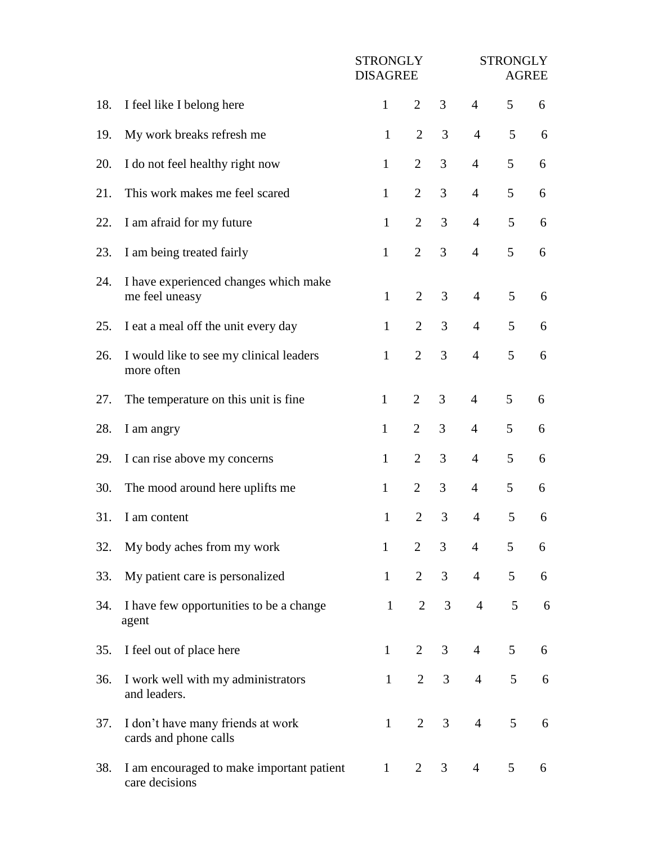|     |                                                             | <b>STRONGLY</b><br><b>DISAGREE</b> |                | <b>STRONGLY</b><br><b>AGREE</b> |                 |                 |   |
|-----|-------------------------------------------------------------|------------------------------------|----------------|---------------------------------|-----------------|-----------------|---|
| 18. | I feel like I belong here                                   | $\mathbf{1}$                       | $\overline{2}$ | $\overline{3}$                  | $\overline{4}$  | 5               | 6 |
| 19. | My work breaks refresh me                                   | $\mathbf{1}$                       | $\overline{2}$ | 3                               | $\overline{4}$  | 5               | 6 |
| 20. | I do not feel healthy right now                             | $\mathbf{1}$                       | $\overline{2}$ | 3                               | $\overline{4}$  | 5               | 6 |
| 21. | This work makes me feel scared                              | $\mathbf{1}$                       | $\overline{2}$ | 3                               | $\overline{4}$  | 5               | 6 |
| 22. | I am afraid for my future                                   | $\mathbf{1}$                       | $\overline{2}$ | 3                               | $\overline{4}$  | 5               | 6 |
| 23. | I am being treated fairly                                   | $\mathbf{1}$                       | $\overline{2}$ | 3                               | $\overline{4}$  | 5               | 6 |
| 24. | I have experienced changes which make<br>me feel uneasy     | $\mathbf{1}$                       | $\overline{2}$ | 3                               | $\overline{4}$  | 5               | 6 |
| 25. | I eat a meal off the unit every day                         | $\mathbf{1}$                       | $\overline{2}$ | 3                               | $\overline{4}$  | 5               | 6 |
| 26. | I would like to see my clinical leaders<br>more often       | $\mathbf{1}$                       | $\overline{2}$ | $\overline{3}$                  | $\overline{4}$  | 5               | 6 |
| 27. | The temperature on this unit is fine.                       | $\mathbf{1}$                       | $\overline{2}$ | 3                               | $\overline{4}$  | 5               | 6 |
| 28. | I am angry                                                  | $\mathbf{1}$                       | $\overline{2}$ | 3                               | $\overline{4}$  | 5               | 6 |
| 29. | I can rise above my concerns                                | $\mathbf{1}$                       | $\overline{2}$ | 3                               | $\overline{4}$  | 5               | 6 |
| 30. | The mood around here uplifts me                             | $\mathbf{1}$                       | $\overline{2}$ | 3                               | $\overline{4}$  | 5               | 6 |
| 31. | I am content                                                | $\mathbf{1}$                       | $\overline{2}$ | 3                               | $\overline{4}$  | 5               | 6 |
| 32. | My body aches from my work                                  | $\mathbf{1}$                       | $\overline{2}$ | 3 <sup>7</sup>                  | $\overline{4}$  | 5               | 6 |
| 33. | My patient care is personalized                             | $\mathbf{1}$                       | $\overline{2}$ | 3 <sup>7</sup>                  | $4\overline{ }$ | 5               | 6 |
| 34. | I have few opportunities to be a change<br>agent            | $\mathbf{1}$                       | $\overline{2}$ | $\mathfrak{Z}$                  | $4 \quad$       | $5\overline{)}$ | 6 |
| 35. | I feel out of place here                                    | $\mathbf{1}$                       | $\overline{2}$ | $\overline{3}$                  | $\overline{4}$  | 5               | 6 |
| 36. | I work well with my administrators<br>and leaders.          | $\mathbf{1}$                       | $\overline{2}$ | 3 <sup>7</sup>                  | $\overline{4}$  | 5               | 6 |
| 37. | I don't have many friends at work<br>cards and phone calls  | $\mathbf{1}$                       | $\overline{2}$ | 3 <sup>7</sup>                  | $\overline{4}$  | 5               | 6 |
| 38. | I am encouraged to make important patient<br>care decisions | $\mathbf{1}$                       | $\overline{2}$ | 3 <sup>7</sup>                  | $\overline{4}$  | 5               | 6 |